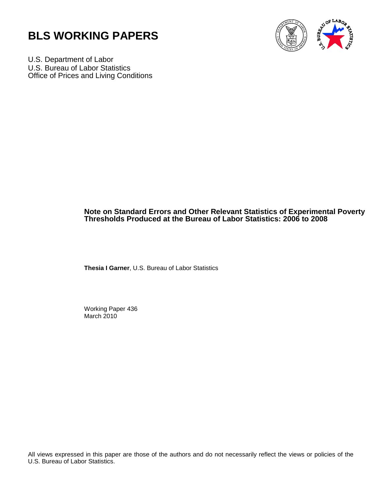



U.S. Department of Labor U.S. Bureau of Labor Statistics Office of Prices and Living Conditions

## **Note on Standard Errors and Other Relevant Statistics of Experimental Poverty Thresholds Produced at the Bureau of Labor Statistics: 2006 to 2008**

**Thesia I Garner**, U.S. Bureau of Labor Statistics

Working Paper 436 March 2010

All views expressed in this paper are those of the authors and do not necessarily reflect the views or policies of the U.S. Bureau of Labor Statistics.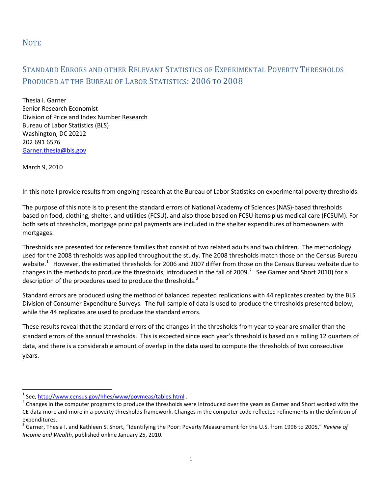## **NOTE**

## STANDARD ERRORS AND OTHER RELEVANT STATISTICS OF EXPERIMENTAL POVERTY THRESHOLDS PRODUCED AT THE BUREAU OF LABOR STATISTICS: 2006 TO 2008

Thesia I. Garner Senior Research Economist Division of Price and Index Number Research Bureau of Labor Statistics (BLS) Washington, DC 20212 202 691 6576 [Garner.thesia@bls.gov](mailto:Garner.thesia@bls.gov)

March 9, 2010

ı

In this note I provide results from ongoing research at the Bureau of Labor Statistics on experimental poverty thresholds.

The purpose of this note is to present the standard errors of National Academy of Sciences (NAS)-based thresholds based on food, clothing, shelter, and utilities (FCSU), and also those based on FCSU items plus medical care (FCSUM). For both sets of thresholds, mortgage principal payments are included in the shelter expenditures of homeowners with mortgages.

Thresholds are presented for reference families that consist of two related adults and two children. The methodology used for the 2008 thresholds was applied throughout the study. The 2008 thresholds match those on the Census Bureau website.<sup>[1](#page-1-0)</sup> However, the estimated thresholds for 2006 and 2007 differ from those on the Census Bureau website due to changes in the methods to produce the thresholds, introduced in the fall of [2](#page-1-1)009. $^2$  See Garner and Short 2010) for a description of the procedures used to produce the thresholds.<sup>[3](#page-1-2)</sup>

Standard errors are produced using the method of balanced repeated replications with 44 replicates created by the BLS Division of Consumer Expenditure Surveys. The full sample of data is used to produce the thresholds presented below, while the 44 replicates are used to produce the standard errors.

These results reveal that the standard errors of the changes in the thresholds from year to year are smaller than the standard errors of the annual thresholds. This is expected since each year's threshold is based on a rolling 12 quarters of data, and there is a considerable amount of overlap in the data used to compute the thresholds of two consecutive years.

<span id="page-1-1"></span><span id="page-1-0"></span><sup>&</sup>lt;sup>1</sup> See,<http://www.census.gov/hhes/www/povmeas/tables.html>.<br><sup>2</sup> Changes in the computer programs to produce the thresholds were introduced over the years as Garner and Short worked with the CE data more and more in a poverty thresholds framework. Changes in the computer code reflected refinements in the definition of expenditures.<br><sup>3</sup> Garner, Thesia I. and Kathleen S. Short, "Identifying the Poor: Poverty Measurement for the U.S. from 1996 to 2005," *Review of* 

<span id="page-1-2"></span>*Income and Wealth*, published online January 25, 2010.